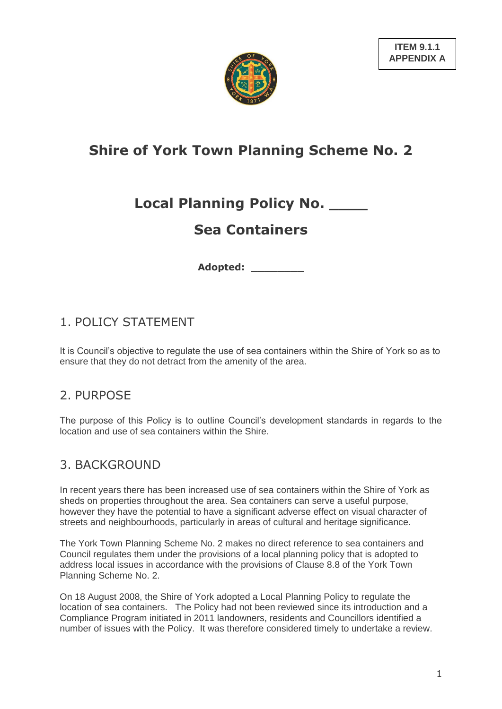

# **Shire of York Town Planning Scheme No. 2**

# **Local Planning Policy No. \_\_\_\_**

# **Sea Containers**

**Adopted: \_\_\_\_\_\_\_\_**

## 1. POLICY STATEMENT

It is Council"s objective to regulate the use of sea containers within the Shire of York so as to ensure that they do not detract from the amenity of the area.

## 2. PURPOSE

The purpose of this Policy is to outline Council"s development standards in regards to the location and use of sea containers within the Shire.

## 3. BACKGROUND

In recent years there has been increased use of sea containers within the Shire of York as sheds on properties throughout the area. Sea containers can serve a useful purpose, however they have the potential to have a significant adverse effect on visual character of streets and neighbourhoods, particularly in areas of cultural and heritage significance.

The York Town Planning Scheme No. 2 makes no direct reference to sea containers and Council regulates them under the provisions of a local planning policy that is adopted to address local issues in accordance with the provisions of Clause 8.8 of the York Town Planning Scheme No. 2.

On 18 August 2008, the Shire of York adopted a Local Planning Policy to regulate the location of sea containers. The Policy had not been reviewed since its introduction and a Compliance Program initiated in 2011 landowners, residents and Councillors identified a number of issues with the Policy. It was therefore considered timely to undertake a review.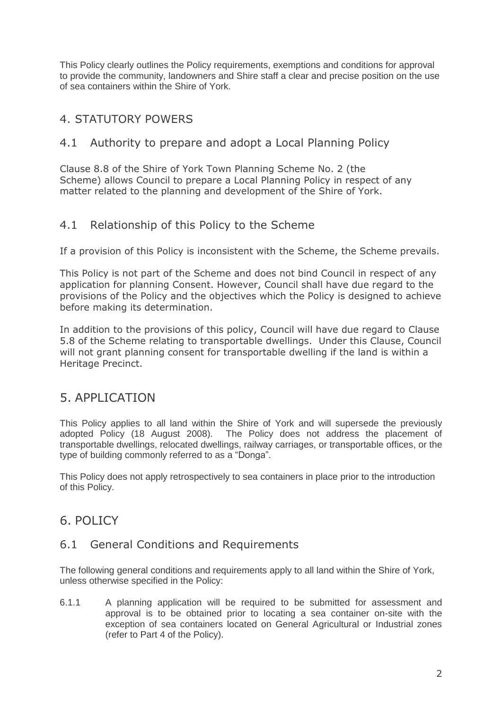This Policy clearly outlines the Policy requirements, exemptions and conditions for approval to provide the community, landowners and Shire staff a clear and precise position on the use of sea containers within the Shire of York.

## 4. STATUTORY POWERS

### 4.1 Authority to prepare and adopt a Local Planning Policy

Clause 8.8 of the Shire of York Town Planning Scheme No. 2 (the Scheme) allows Council to prepare a Local Planning Policy in respect of any matter related to the planning and development of the Shire of York.

### 4.1 Relationship of this Policy to the Scheme

If a provision of this Policy is inconsistent with the Scheme, the Scheme prevails.

This Policy is not part of the Scheme and does not bind Council in respect of any application for planning Consent. However, Council shall have due regard to the provisions of the Policy and the objectives which the Policy is designed to achieve before making its determination.

In addition to the provisions of this policy, Council will have due regard to Clause 5.8 of the Scheme relating to transportable dwellings. Under this Clause, Council will not grant planning consent for transportable dwelling if the land is within a Heritage Precinct.

## 5. APPLICATION

This Policy applies to all land within the Shire of York and will supersede the previously adopted Policy (18 August 2008). The Policy does not address the placement of transportable dwellings, relocated dwellings, railway carriages, or transportable offices, or the type of building commonly referred to as a "Donga".

This Policy does not apply retrospectively to sea containers in place prior to the introduction of this Policy.

## 6. POLICY

### 6.1 General Conditions and Requirements

The following general conditions and requirements apply to all land within the Shire of York, unless otherwise specified in the Policy:

6.1.1 A planning application will be required to be submitted for assessment and approval is to be obtained prior to locating a sea container on-site with the exception of sea containers located on General Agricultural or Industrial zones (refer to Part 4 of the Policy).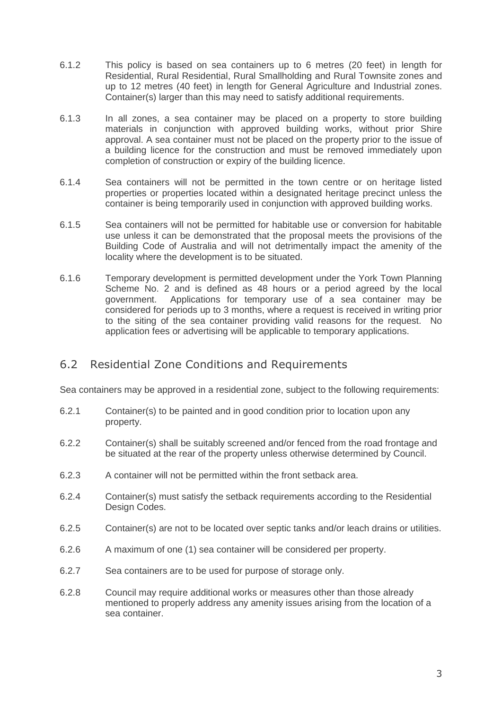- 6.1.2 This policy is based on sea containers up to 6 metres (20 feet) in length for Residential, Rural Residential, Rural Smallholding and Rural Townsite zones and up to 12 metres (40 feet) in length for General Agriculture and Industrial zones. Container(s) larger than this may need to satisfy additional requirements.
- 6.1.3 In all zones, a sea container may be placed on a property to store building materials in conjunction with approved building works, without prior Shire approval. A sea container must not be placed on the property prior to the issue of a building licence for the construction and must be removed immediately upon completion of construction or expiry of the building licence.
- 6.1.4 Sea containers will not be permitted in the town centre or on heritage listed properties or properties located within a designated heritage precinct unless the container is being temporarily used in conjunction with approved building works.
- 6.1.5 Sea containers will not be permitted for habitable use or conversion for habitable use unless it can be demonstrated that the proposal meets the provisions of the Building Code of Australia and will not detrimentally impact the amenity of the locality where the development is to be situated.
- 6.1.6 Temporary development is permitted development under the York Town Planning Scheme No. 2 and is defined as 48 hours or a period agreed by the local government. Applications for temporary use of a sea container may be considered for periods up to 3 months, where a request is received in writing prior to the siting of the sea container providing valid reasons for the request. No application fees or advertising will be applicable to temporary applications.

### 6.2 Residential Zone Conditions and Requirements

Sea containers may be approved in a residential zone, subject to the following requirements:

- 6.2.1 Container(s) to be painted and in good condition prior to location upon any property.
- 6.2.2 Container(s) shall be suitably screened and/or fenced from the road frontage and be situated at the rear of the property unless otherwise determined by Council.
- 6.2.3 A container will not be permitted within the front setback area.
- 6.2.4 Container(s) must satisfy the setback requirements according to the Residential Design Codes.
- 6.2.5 Container(s) are not to be located over septic tanks and/or leach drains or utilities.
- 6.2.6 A maximum of one (1) sea container will be considered per property.
- 6.2.7 Sea containers are to be used for purpose of storage only.
- 6.2.8 Council may require additional works or measures other than those already mentioned to properly address any amenity issues arising from the location of a sea container.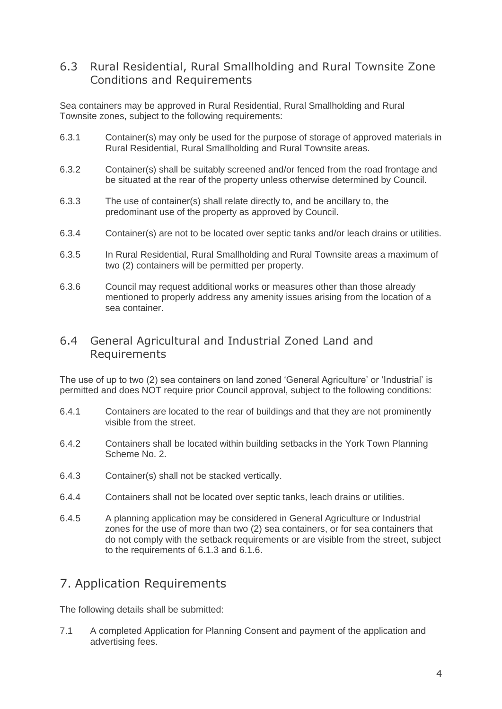### 6.3 Rural Residential, Rural Smallholding and Rural Townsite Zone Conditions and Requirements

Sea containers may be approved in Rural Residential, Rural Smallholding and Rural Townsite zones, subject to the following requirements:

- 6.3.1 Container(s) may only be used for the purpose of storage of approved materials in Rural Residential, Rural Smallholding and Rural Townsite areas.
- 6.3.2 Container(s) shall be suitably screened and/or fenced from the road frontage and be situated at the rear of the property unless otherwise determined by Council.
- 6.3.3 The use of container(s) shall relate directly to, and be ancillary to, the predominant use of the property as approved by Council.
- 6.3.4 Container(s) are not to be located over septic tanks and/or leach drains or utilities.
- 6.3.5 In Rural Residential, Rural Smallholding and Rural Townsite areas a maximum of two (2) containers will be permitted per property.
- 6.3.6 Council may request additional works or measures other than those already mentioned to properly address any amenity issues arising from the location of a sea container.

### 6.4 General Agricultural and Industrial Zoned Land and Requirements

The use of up to two (2) sea containers on land zoned "General Agriculture" or "Industrial" is permitted and does NOT require prior Council approval, subject to the following conditions:

- 6.4.1 Containers are located to the rear of buildings and that they are not prominently visible from the street.
- 6.4.2 Containers shall be located within building setbacks in the York Town Planning Scheme No. 2.
- 6.4.3 Container(s) shall not be stacked vertically.
- 6.4.4 Containers shall not be located over septic tanks, leach drains or utilities.
- 6.4.5 A planning application may be considered in General Agriculture or Industrial zones for the use of more than two (2) sea containers, or for sea containers that do not comply with the setback requirements or are visible from the street, subject to the requirements of 6.1.3 and 6.1.6.

## 7. Application Requirements

The following details shall be submitted:

7.1 A completed Application for Planning Consent and payment of the application and advertising fees.